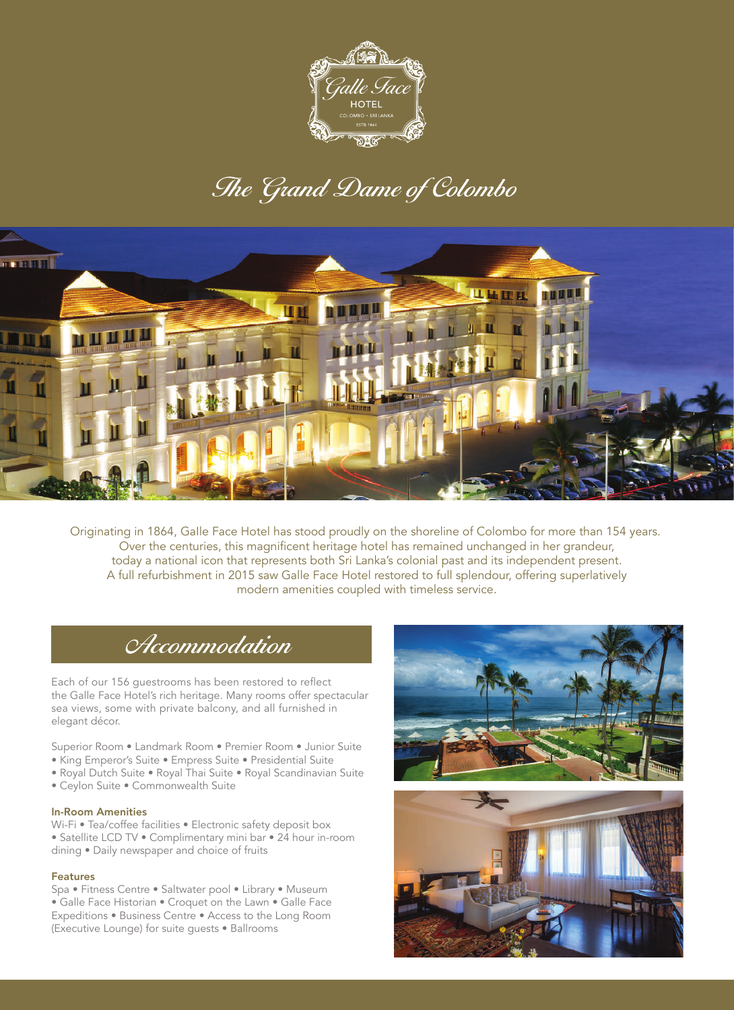

# The Grand Dame of Colombo



Originating in 1864, GaIle Face Hotel has stood proudly on the shoreline of Colombo for more than 154 years. Over the centuries, this magnificent heritage hotel has remained unchanged in her grandeur, today a national icon that represents both Sri Lanka's colonial past and its independent present. A full refurbishment in 2015 saw Galle Face Hotel restored to full splendour, offering superlatively modern amenities coupled with timeless service.

### Accommodation

Each of our 156 guestrooms has been restored to reflect the Galle Face Hotel's rich heritage. Many rooms offer spectacular sea views, some with private balcony, and all furnished in elegant décor.

- Superior Room Landmark Room Premier Room Junior Suite
- King Emperor's Suite Empress Suite Presidential Suite
- Royal Dutch Suite Royal Thai Suite Royal Scandinavian Suite
- Ceylon Suite Commonwealth Suite

### In-Room Amenities

Wi-Fi • Tea/coffee facilities • Electronic safety deposit box • Satellite LCD TV • Complimentary mini bar • 24 hour in-room dining • Daily newspaper and choice of fruits

#### Features

Spa • Fitness Centre • Saltwater pool • Library • Museum • Galle Face Historian • Croquet on the Lawn • Galle Face Expeditions • Business Centre • Access to the Long Room (Executive Lounge) for suite guests • Ballrooms